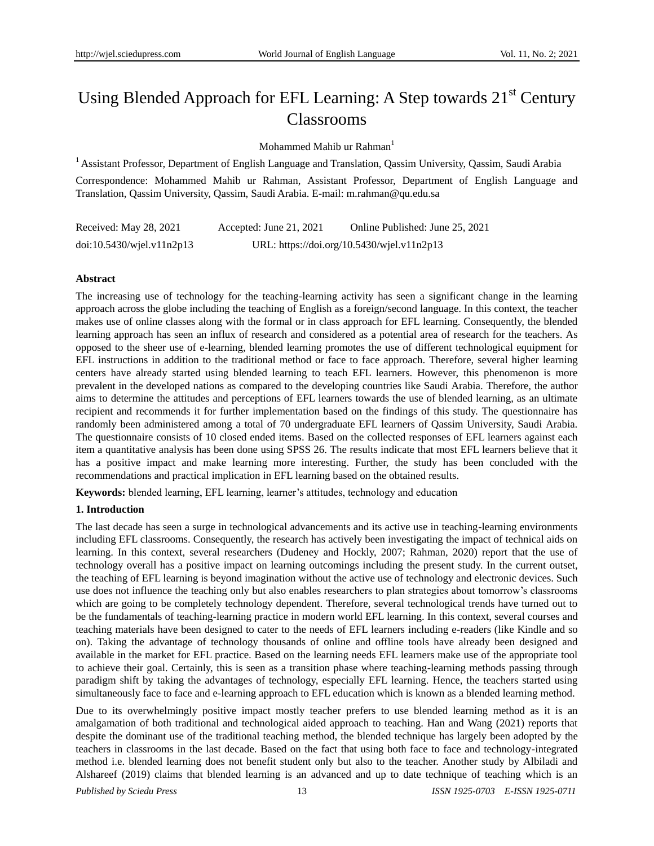# Using Blended Approach for EFL Learning: A Step towards  $21<sup>st</sup>$  Century Classrooms

Mohammed Mahib ur Rahman<sup>1</sup>

<sup>1</sup> Assistant Professor, Department of English Language and Translation, Qassim University, Qassim, Saudi Arabia

Correspondence: Mohammed Mahib ur Rahman, Assistant Professor, Department of English Language and Translation, Qassim University, Qassim, Saudi Arabia. E-mail: m.rahman@qu.edu.sa

| Received: May 28, 2021    | Accepted: June 21, $2021$ | Online Published: June 25, 2021            |
|---------------------------|---------------------------|--------------------------------------------|
| doi:10.5430/wjel.v11n2p13 |                           | URL: https://doi.org/10.5430/wjel.v11n2p13 |

# **Abstract**

The increasing use of technology for the teaching-learning activity has seen a significant change in the learning approach across the globe including the teaching of English as a foreign/second language. In this context, the teacher makes use of online classes along with the formal or in class approach for EFL learning. Consequently, the blended learning approach has seen an influx of research and considered as a potential area of research for the teachers. As opposed to the sheer use of e-learning, blended learning promotes the use of different technological equipment for EFL instructions in addition to the traditional method or face to face approach. Therefore, several higher learning centers have already started using blended learning to teach EFL learners. However, this phenomenon is more prevalent in the developed nations as compared to the developing countries like Saudi Arabia. Therefore, the author aims to determine the attitudes and perceptions of EFL learners towards the use of blended learning, as an ultimate recipient and recommends it for further implementation based on the findings of this study. The questionnaire has randomly been administered among a total of 70 undergraduate EFL learners of Qassim University, Saudi Arabia. The questionnaire consists of 10 closed ended items. Based on the collected responses of EFL learners against each item a quantitative analysis has been done using SPSS 26. The results indicate that most EFL learners believe that it has a positive impact and make learning more interesting. Further, the study has been concluded with the recommendations and practical implication in EFL learning based on the obtained results.

**Keywords:** blended learning, EFL learning, learner's attitudes, technology and education

# **1. Introduction**

The last decade has seen a surge in technological advancements and its active use in teaching-learning environments including EFL classrooms. Consequently, the research has actively been investigating the impact of technical aids on learning. In this context, several researchers (Dudeney and Hockly, 2007; Rahman, 2020) report that the use of technology overall has a positive impact on learning outcomings including the present study. In the current outset, the teaching of EFL learning is beyond imagination without the active use of technology and electronic devices. Such use does not influence the teaching only but also enables researchers to plan strategies about tomorrow's classrooms which are going to be completely technology dependent. Therefore, several technological trends have turned out to be the fundamentals of teaching-learning practice in modern world EFL learning. In this context, several courses and teaching materials have been designed to cater to the needs of EFL learners including e-readers (like Kindle and so on). Taking the advantage of technology thousands of online and offline tools have already been designed and available in the market for EFL practice. Based on the learning needs EFL learners make use of the appropriate tool to achieve their goal. Certainly, this is seen as a transition phase where teaching-learning methods passing through paradigm shift by taking the advantages of technology, especially EFL learning. Hence, the teachers started using simultaneously face to face and e-learning approach to EFL education which is known as a blended learning method.

Due to its overwhelmingly positive impact mostly teacher prefers to use blended learning method as it is an amalgamation of both traditional and technological aided approach to teaching. Han and Wang (2021) reports that despite the dominant use of the traditional teaching method, the blended technique has largely been adopted by the teachers in classrooms in the last decade. Based on the fact that using both face to face and technology-integrated method i.e. blended learning does not benefit student only but also to the teacher. Another study by Albiladi and Alshareef (2019) claims that blended learning is an advanced and up to date technique of teaching which is an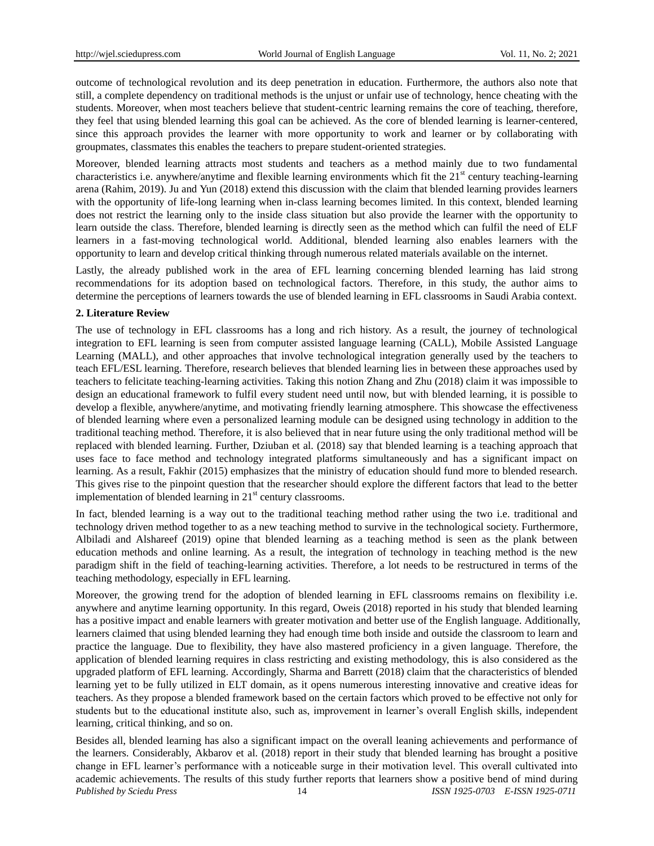outcome of technological revolution and its deep penetration in education. Furthermore, the authors also note that still, a complete dependency on traditional methods is the unjust or unfair use of technology, hence cheating with the students. Moreover, when most teachers believe that student-centric learning remains the core of teaching, therefore, they feel that using blended learning this goal can be achieved. As the core of blended learning is learner-centered, since this approach provides the learner with more opportunity to work and learner or by collaborating with groupmates, classmates this enables the teachers to prepare student-oriented strategies.

Moreover, blended learning attracts most students and teachers as a method mainly due to two fundamental characteristics i.e. anywhere/anytime and flexible learning environments which fit the 21<sup>st</sup> century teaching-learning arena (Rahim, 2019). Ju and Yun (2018) extend this discussion with the claim that blended learning provides learners with the opportunity of life-long learning when in-class learning becomes limited. In this context, blended learning does not restrict the learning only to the inside class situation but also provide the learner with the opportunity to learn outside the class. Therefore, blended learning is directly seen as the method which can fulfil the need of ELF learners in a fast-moving technological world. Additional, blended learning also enables learners with the opportunity to learn and develop critical thinking through numerous related materials available on the internet.

Lastly, the already published work in the area of EFL learning concerning blended learning has laid strong recommendations for its adoption based on technological factors. Therefore, in this study, the author aims to determine the perceptions of learners towards the use of blended learning in EFL classrooms in Saudi Arabia context.

#### **2. Literature Review**

The use of technology in EFL classrooms has a long and rich history. As a result, the journey of technological integration to EFL learning is seen from computer assisted language learning (CALL), Mobile Assisted Language Learning (MALL), and other approaches that involve technological integration generally used by the teachers to teach EFL/ESL learning. Therefore, research believes that blended learning lies in between these approaches used by teachers to felicitate teaching-learning activities. Taking this notion Zhang and Zhu (2018) claim it was impossible to design an educational framework to fulfil every student need until now, but with blended learning, it is possible to develop a flexible, anywhere/anytime, and motivating friendly learning atmosphere. This showcase the effectiveness of blended learning where even a personalized learning module can be designed using technology in addition to the traditional teaching method. Therefore, it is also believed that in near future using the only traditional method will be replaced with blended learning. Further, Dziuban et al. (2018) say that blended learning is a teaching approach that uses face to face method and technology integrated platforms simultaneously and has a significant impact on learning. As a result, Fakhir (2015) emphasizes that the ministry of education should fund more to blended research. This gives rise to the pinpoint question that the researcher should explore the different factors that lead to the better implementation of blended learning in  $21<sup>st</sup>$  century classrooms.

In fact, blended learning is a way out to the traditional teaching method rather using the two i.e. traditional and technology driven method together to as a new teaching method to survive in the technological society. Furthermore, Albiladi and Alshareef (2019) opine that blended learning as a teaching method is seen as the plank between education methods and online learning. As a result, the integration of technology in teaching method is the new paradigm shift in the field of teaching-learning activities. Therefore, a lot needs to be restructured in terms of the teaching methodology, especially in EFL learning.

Moreover, the growing trend for the adoption of blended learning in EFL classrooms remains on flexibility i.e. anywhere and anytime learning opportunity. In this regard, Oweis (2018) reported in his study that blended learning has a positive impact and enable learners with greater motivation and better use of the English language. Additionally, learners claimed that using blended learning they had enough time both inside and outside the classroom to learn and practice the language. Due to flexibility, they have also mastered proficiency in a given language. Therefore, the application of blended learning requires in class restricting and existing methodology, this is also considered as the upgraded platform of EFL learning. Accordingly, Sharma and Barrett (2018) claim that the characteristics of blended learning yet to be fully utilized in ELT domain, as it opens numerous interesting innovative and creative ideas for teachers. As they propose a blended framework based on the certain factors which proved to be effective not only for students but to the educational institute also, such as, improvement in learner's overall English skills, independent learning, critical thinking, and so on.

*Published by Sciedu Press* 14 *ISSN 1925-0703 E-ISSN 1925-0711* Besides all, blended learning has also a significant impact on the overall leaning achievements and performance of the learners. Considerably, Akbarov et al. (2018) report in their study that blended learning has brought a positive change in EFL learner's performance with a noticeable surge in their motivation level. This overall cultivated into academic achievements. The results of this study further reports that learners show a positive bend of mind during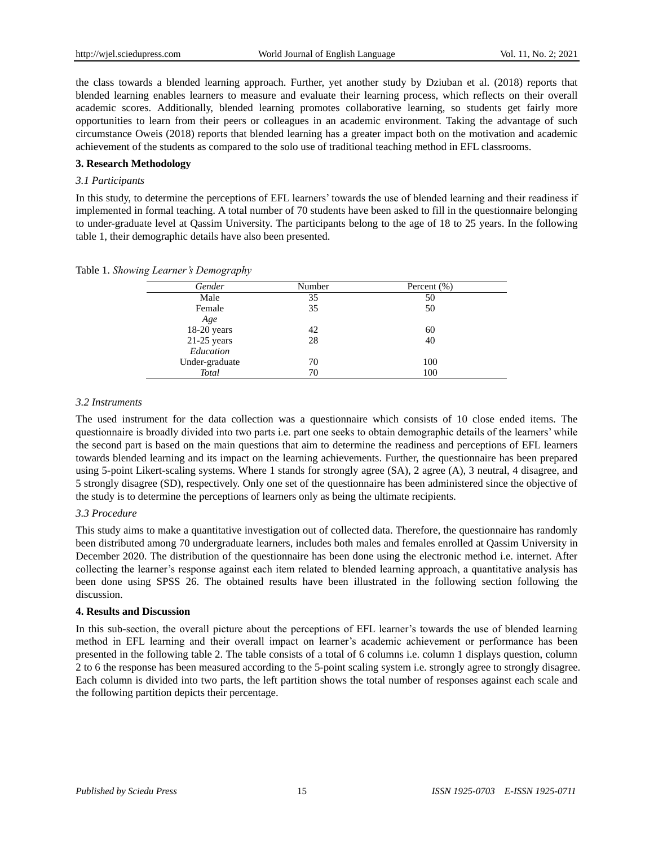the class towards a blended learning approach. Further, yet another study by Dziuban et al. (2018) reports that blended learning enables learners to measure and evaluate their learning process, which reflects on their overall academic scores. Additionally, blended learning promotes collaborative learning, so students get fairly more opportunities to learn from their peers or colleagues in an academic environment. Taking the advantage of such circumstance Oweis (2018) reports that blended learning has a greater impact both on the motivation and academic achievement of the students as compared to the solo use of traditional teaching method in EFL classrooms.

# **3. Research Methodology**

## *3.1 Participants*

In this study, to determine the perceptions of EFL learners' towards the use of blended learning and their readiness if implemented in formal teaching. A total number of 70 students have been asked to fill in the questionnaire belonging to under-graduate level at Qassim University. The participants belong to the age of 18 to 25 years. In the following table 1, their demographic details have also been presented.

|  |  |  |  | Table 1. Showing Learner's Demography |
|--|--|--|--|---------------------------------------|
|--|--|--|--|---------------------------------------|

| Gender         | Number | Percent $(\%)$ |  |
|----------------|--------|----------------|--|
| Male           | 35     | 50             |  |
| Female         | 35     | 50             |  |
| Age            |        |                |  |
| $18-20$ years  | 42     | 60             |  |
| $21-25$ years  | 28     | 40             |  |
| Education      |        |                |  |
| Under-graduate | 70     | 100            |  |
| Total          | 70     | 100            |  |

## *3.2 Instruments*

The used instrument for the data collection was a questionnaire which consists of 10 close ended items. The questionnaire is broadly divided into two parts i.e. part one seeks to obtain demographic details of the learners' while the second part is based on the main questions that aim to determine the readiness and perceptions of EFL learners towards blended learning and its impact on the learning achievements. Further, the questionnaire has been prepared using 5-point Likert-scaling systems. Where 1 stands for strongly agree (SA), 2 agree (A), 3 neutral, 4 disagree, and 5 strongly disagree (SD), respectively. Only one set of the questionnaire has been administered since the objective of the study is to determine the perceptions of learners only as being the ultimate recipients.

# *3.3 Procedure*

This study aims to make a quantitative investigation out of collected data. Therefore, the questionnaire has randomly been distributed among 70 undergraduate learners, includes both males and females enrolled at Qassim University in December 2020. The distribution of the questionnaire has been done using the electronic method i.e. internet. After collecting the learner's response against each item related to blended learning approach, a quantitative analysis has been done using SPSS 26. The obtained results have been illustrated in the following section following the discussion.

#### **4. Results and Discussion**

In this sub-section, the overall picture about the perceptions of EFL learner's towards the use of blended learning method in EFL learning and their overall impact on learner's academic achievement or performance has been presented in the following table 2. The table consists of a total of 6 columns i.e. column 1 displays question, column 2 to 6 the response has been measured according to the 5-point scaling system i.e. strongly agree to strongly disagree. Each column is divided into two parts, the left partition shows the total number of responses against each scale and the following partition depicts their percentage.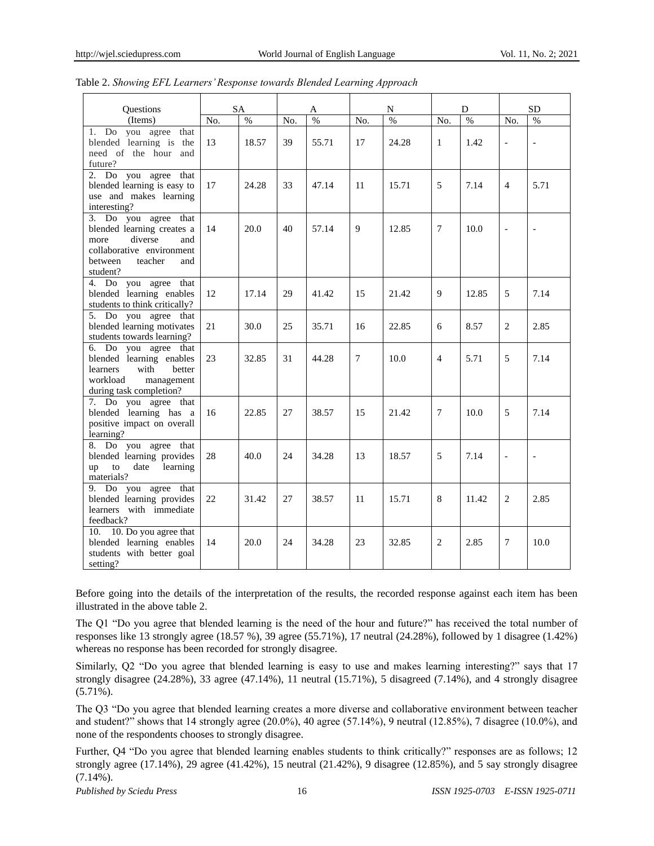| <b>Ouestions</b>                                                                                                                                   |     | <b>SA</b> |     | A     |     | N     |                | D     |                | <b>SD</b>                |
|----------------------------------------------------------------------------------------------------------------------------------------------------|-----|-----------|-----|-------|-----|-------|----------------|-------|----------------|--------------------------|
| (Items)                                                                                                                                            | No. | $\%$      | No. | $\%$  | No. | $\%$  | No.            | %     | No.            | $\frac{0}{0}$            |
| 1. Do you agree<br>that<br>blended learning is the<br>need of the hour and<br>future?                                                              | 13  | 18.57     | 39  | 55.71 | 17  | 24.28 | 1              | 1.42  | $\overline{a}$ | $\overline{a}$           |
| 2. Do you agree<br>that<br>blended learning is easy to<br>use and makes learning<br>interesting?                                                   | 17  | 24.28     | 33  | 47.14 | 11  | 15.71 | 5              | 7.14  | $\overline{4}$ | 5.71                     |
| 3. Do you agree that<br>blended learning creates a<br>diverse<br>more<br>and<br>collaborative environment<br>between<br>teacher<br>and<br>student? | 14  | 20.0      | 40  | 57.14 | 9   | 12.85 | 7              | 10.0  | $\overline{a}$ | $\overline{a}$           |
| 4. Do you agree that<br>blended learning enables<br>students to think critically?                                                                  | 12  | 17.14     | 29  | 41.42 | 15  | 21.42 | 9              | 12.85 | 5              | 7.14                     |
| 5. Do you agree that<br>blended learning motivates<br>students towards learning?                                                                   | 21  | 30.0      | 25  | 35.71 | 16  | 22.85 | 6              | 8.57  | $\overline{c}$ | 2.85                     |
| 6. Do you agree that<br>blended learning enables<br>learners<br>with<br>better<br>workload<br>management<br>during task completion?                | 23  | 32.85     | 31  | 44.28 | 7   | 10.0  | $\overline{4}$ | 5.71  | 5              | 7.14                     |
| 7. Do you agree that<br>blended learning has a<br>positive impact on overall<br>learning?                                                          | 16  | 22.85     | 27  | 38.57 | 15  | 21.42 | 7              | 10.0  | 5              | 7.14                     |
| 8. Do you agree that<br>blended learning provides<br>date<br>learning<br>to<br>up<br>materials?                                                    | 28  | 40.0      | 24  | 34.28 | 13  | 18.57 | 5              | 7.14  | $\overline{a}$ | $\overline{\phantom{a}}$ |
| 9. Do you agree that<br>blended learning provides<br>learners with immediate<br>feedback?                                                          | 22  | 31.42     | 27  | 38.57 | 11  | 15.71 | 8              | 11.42 | $\overline{c}$ | 2.85                     |
| 10. Do you agree that<br>10.<br>blended learning enables<br>students with better goal<br>setting?                                                  | 14  | 20.0      | 24  | 34.28 | 23  | 32.85 | $\overline{c}$ | 2.85  | 7              | 10.0                     |

| Table 2. Showing EFL Learners' Response towards Blended Learning Approach |  |
|---------------------------------------------------------------------------|--|
|                                                                           |  |

Before going into the details of the interpretation of the results, the recorded response against each item has been illustrated in the above table 2.

The Q1 "Do you agree that blended learning is the need of the hour and future?" has received the total number of responses like 13 strongly agree (18.57 %), 39 agree (55.71%), 17 neutral (24.28%), followed by 1 disagree (1.42%) whereas no response has been recorded for strongly disagree.

Similarly, Q2 "Do you agree that blended learning is easy to use and makes learning interesting?" says that 17 strongly disagree (24.28%), 33 agree (47.14%), 11 neutral (15.71%), 5 disagreed (7.14%), and 4 strongly disagree (5.71%).

The Q3 "Do you agree that blended learning creates a more diverse and collaborative environment between teacher and student?" shows that 14 strongly agree (20.0%), 40 agree (57.14%), 9 neutral (12.85%), 7 disagree (10.0%), and none of the respondents chooses to strongly disagree.

Further, Q4 "Do you agree that blended learning enables students to think critically?" responses are as follows; 12 strongly agree (17.14%), 29 agree (41.42%), 15 neutral (21.42%), 9 disagree (12.85%), and 5 say strongly disagree  $(7.14\%)$ .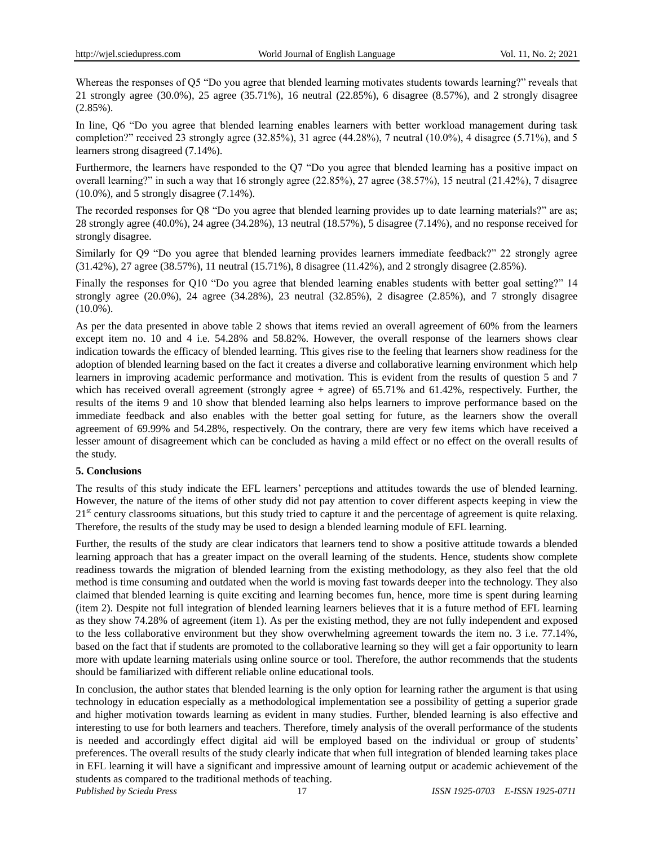Whereas the responses of Q5 "Do you agree that blended learning motivates students towards learning?" reveals that 21 strongly agree (30.0%), 25 agree (35.71%), 16 neutral (22.85%), 6 disagree (8.57%), and 2 strongly disagree (2.85%).

In line, Q6 "Do you agree that blended learning enables learners with better workload management during task completion?" received 23 strongly agree (32.85%), 31 agree (44.28%), 7 neutral (10.0%), 4 disagree (5.71%), and 5 learners strong disagreed (7.14%).

Furthermore, the learners have responded to the Q7 "Do you agree that blended learning has a positive impact on overall learning?" in such a way that 16 strongly agree (22.85%), 27 agree (38.57%), 15 neutral (21.42%), 7 disagree (10.0%), and 5 strongly disagree (7.14%).

The recorded responses for Q8 "Do you agree that blended learning provides up to date learning materials?" are as; 28 strongly agree (40.0%), 24 agree (34.28%), 13 neutral (18.57%), 5 disagree (7.14%), and no response received for strongly disagree.

Similarly for Q9 "Do you agree that blended learning provides learners immediate feedback?" 22 strongly agree (31.42%), 27 agree (38.57%), 11 neutral (15.71%), 8 disagree (11.42%), and 2 strongly disagree (2.85%).

Finally the responses for Q10 "Do you agree that blended learning enables students with better goal setting?" 14 strongly agree  $(20.0\%)$ , 24 agree  $(34.28\%)$ , 23 neutral  $(32.85\%)$ , 2 disagree  $(2.85\%)$ , and 7 strongly disagree  $(10.0\%)$ .

As per the data presented in above table 2 shows that items revied an overall agreement of 60% from the learners except item no. 10 and 4 i.e. 54.28% and 58.82%. However, the overall response of the learners shows clear indication towards the efficacy of blended learning. This gives rise to the feeling that learners show readiness for the adoption of blended learning based on the fact it creates a diverse and collaborative learning environment which help learners in improving academic performance and motivation. This is evident from the results of question 5 and 7 which has received overall agreement (strongly agree  $+$  agree) of 65.71% and 61.42%, respectively. Further, the results of the items 9 and 10 show that blended learning also helps learners to improve performance based on the immediate feedback and also enables with the better goal setting for future, as the learners show the overall agreement of 69.99% and 54.28%, respectively. On the contrary, there are very few items which have received a lesser amount of disagreement which can be concluded as having a mild effect or no effect on the overall results of the study.

# **5. Conclusions**

The results of this study indicate the EFL learners' perceptions and attitudes towards the use of blended learning. However, the nature of the items of other study did not pay attention to cover different aspects keeping in view the 21<sup>st</sup> century classrooms situations, but this study tried to capture it and the percentage of agreement is quite relaxing. Therefore, the results of the study may be used to design a blended learning module of EFL learning.

Further, the results of the study are clear indicators that learners tend to show a positive attitude towards a blended learning approach that has a greater impact on the overall learning of the students. Hence, students show complete readiness towards the migration of blended learning from the existing methodology, as they also feel that the old method is time consuming and outdated when the world is moving fast towards deeper into the technology. They also claimed that blended learning is quite exciting and learning becomes fun, hence, more time is spent during learning (item 2). Despite not full integration of blended learning learners believes that it is a future method of EFL learning as they show 74.28% of agreement (item 1). As per the existing method, they are not fully independent and exposed to the less collaborative environment but they show overwhelming agreement towards the item no. 3 i.e. 77.14%, based on the fact that if students are promoted to the collaborative learning so they will get a fair opportunity to learn more with update learning materials using online source or tool. Therefore, the author recommends that the students should be familiarized with different reliable online educational tools.

In conclusion, the author states that blended learning is the only option for learning rather the argument is that using technology in education especially as a methodological implementation see a possibility of getting a superior grade and higher motivation towards learning as evident in many studies. Further, blended learning is also effective and interesting to use for both learners and teachers. Therefore, timely analysis of the overall performance of the students is needed and accordingly effect digital aid will be employed based on the individual or group of students' preferences. The overall results of the study clearly indicate that when full integration of blended learning takes place in EFL learning it will have a significant and impressive amount of learning output or academic achievement of the students as compared to the traditional methods of teaching.